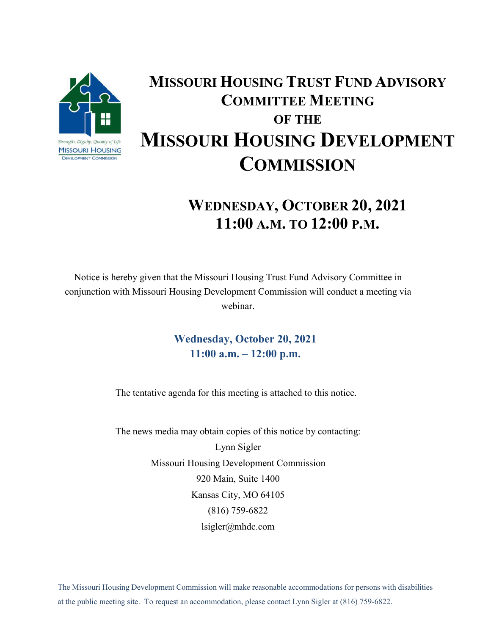

## **MISSOURI HOUSING TRUST FUND ADVISORY COMMITTEE MEETING OF THE MISSOURI HOUSING DEVELOPMENT COMMISSION**

## **WEDNESDAY, OCTOBER 20, 2021 11:00 A.M. TO 12:00 P.M.**

Notice is hereby given that the Missouri Housing Trust Fund Advisory Committee in conjunction with Missouri Housing Development Commission will conduct a meeting via webinar.

> **Wednesday, October 20, 2021 11:00 a.m. – 12:00 p.m.**

The tentative agenda for this meeting is attached to this notice.

The news media may obtain copies of this notice by contacting: Lynn Sigler Missouri Housing Development Commission 920 Main, Suite 1400 Kansas City, MO 64105 (816) 759-6822 lsigler@mhdc.com

The Missouri Housing Development Commission will make reasonable accommodations for persons with disabilities at the public meeting site. To request an accommodation, please contact Lynn Sigler at (816) 759-6822.